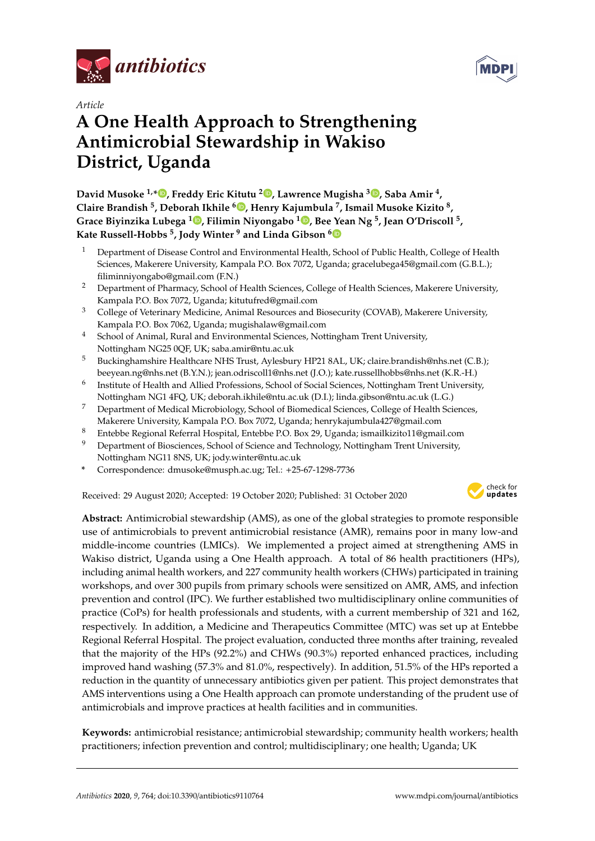



# *Article*

# **A One Health Approach to Strengthening Antimicrobial Stewardship in Wakiso District, Uganda**

**David Musoke 1,\* [,](https://orcid.org/0000-0003-3262-3918) Freddy Eric Kitutu [2](https://orcid.org/0000-0003-2277-9572) , Lawrence Mugisha <sup>3</sup> [,](https://orcid.org/0000-0003-4932-3356) Saba Amir <sup>4</sup> , Claire Brandish <sup>5</sup> , Deborah Ikhile <sup>6</sup> [,](https://orcid.org/0000-0002-4343-1674) Henry Kajumbula <sup>7</sup> , Ismail Musoke Kizito <sup>8</sup> , Grace Biyinzika Lubega <sup>1</sup> [,](https://orcid.org/0000-0003-0657-7903) Filimin Niyongabo <sup>1</sup> [,](https://orcid.org/0000-0002-5630-6936) Bee Yean Ng <sup>5</sup> , Jean O'Driscoll <sup>5</sup> , Kate Russell-Hobbs <sup>5</sup> , Jody Winter <sup>9</sup> and Linda Gibson [6](https://orcid.org/0000-0002-1220-8680)**

- <sup>1</sup> Department of Disease Control and Environmental Health, School of Public Health, College of Health Sciences, Makerere University, Kampala P.O. Box 7072, Uganda; gracelubega45@gmail.com (G.B.L.); filiminniyongabo@gmail.com (F.N.)
- <sup>2</sup> Department of Pharmacy, School of Health Sciences, College of Health Sciences, Makerere University, Kampala P.O. Box 7072, Uganda; kitutufred@gmail.com
- <sup>3</sup> College of Veterinary Medicine, Animal Resources and Biosecurity (COVAB), Makerere University, Kampala P.O. Box 7062, Uganda; mugishalaw@gmail.com
- <sup>4</sup> School of Animal, Rural and Environmental Sciences, Nottingham Trent University, Nottingham NG25 0QF, UK; saba.amir@ntu.ac.uk
- <sup>5</sup> Buckinghamshire Healthcare NHS Trust, Aylesbury HP21 8AL, UK; claire.brandish@nhs.net (C.B.); beeyean.ng@nhs.net (B.Y.N.); jean.odriscoll1@nhs.net (J.O.); kate.russellhobbs@nhs.net (K.R.-H.)
- 6 Institute of Health and Allied Professions, School of Social Sciences, Nottingham Trent University, Nottingham NG1 4FQ, UK; deborah.ikhile@ntu.ac.uk (D.I.); linda.gibson@ntu.ac.uk (L.G.)
- <sup>7</sup> Department of Medical Microbiology, School of Biomedical Sciences, College of Health Sciences, Makerere University, Kampala P.O. Box 7072, Uganda; henrykajumbula427@gmail.com
- <sup>8</sup> Entebbe Regional Referral Hospital, Entebbe P.O. Box 29, Uganda; ismailkizito11@gmail.com
- <sup>9</sup> Department of Biosciences, School of Science and Technology, Nottingham Trent University, Nottingham NG11 8NS, UK; jody.winter@ntu.ac.uk
- **\*** Correspondence: dmusoke@musph.ac.ug; Tel.: +25-67-1298-7736

Received: 29 August 2020; Accepted: 19 October 2020; Published: 31 October 2020



**Abstract:** Antimicrobial stewardship (AMS), as one of the global strategies to promote responsible use of antimicrobials to prevent antimicrobial resistance (AMR), remains poor in many low-and middle-income countries (LMICs). We implemented a project aimed at strengthening AMS in Wakiso district, Uganda using a One Health approach. A total of 86 health practitioners (HPs), including animal health workers, and 227 community health workers (CHWs) participated in training workshops, and over 300 pupils from primary schools were sensitized on AMR, AMS, and infection prevention and control (IPC). We further established two multidisciplinary online communities of practice (CoPs) for health professionals and students, with a current membership of 321 and 162, respectively. In addition, a Medicine and Therapeutics Committee (MTC) was set up at Entebbe Regional Referral Hospital. The project evaluation, conducted three months after training, revealed that the majority of the HPs (92.2%) and CHWs (90.3%) reported enhanced practices, including improved hand washing (57.3% and 81.0%, respectively). In addition, 51.5% of the HPs reported a reduction in the quantity of unnecessary antibiotics given per patient. This project demonstrates that AMS interventions using a One Health approach can promote understanding of the prudent use of antimicrobials and improve practices at health facilities and in communities.

**Keywords:** antimicrobial resistance; antimicrobial stewardship; community health workers; health practitioners; infection prevention and control; multidisciplinary; one health; Uganda; UK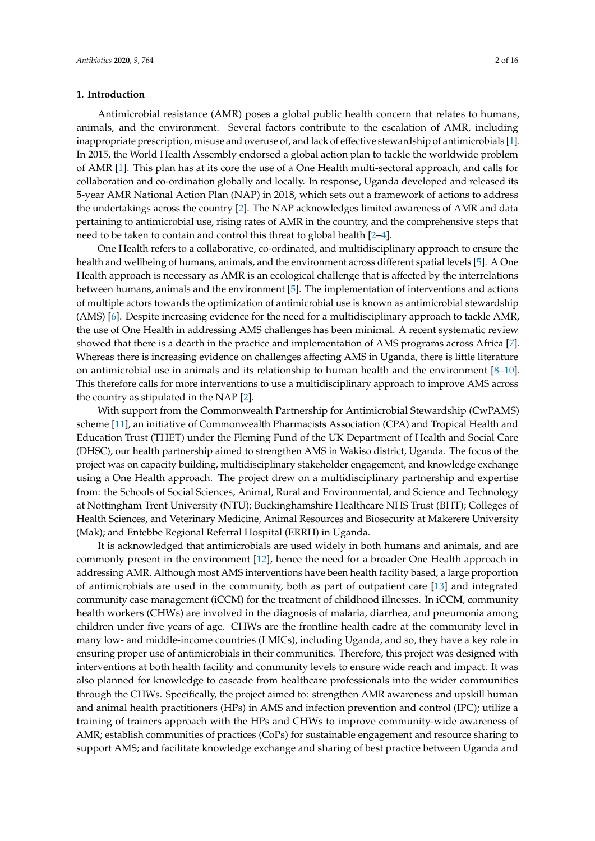# **1. Introduction**

Antimicrobial resistance (AMR) poses a global public health concern that relates to humans, animals, and the environment. Several factors contribute to the escalation of AMR, including inappropriate prescription, misuse and overuse of, and lack of effective stewardship of antimicrobials [\[1\]](#page-13-0). In 2015, the World Health Assembly endorsed a global action plan to tackle the worldwide problem of AMR [\[1\]](#page-13-0). This plan has at its core the use of a One Health multi-sectoral approach, and calls for collaboration and co-ordination globally and locally. In response, Uganda developed and released its 5-year AMR National Action Plan (NAP) in 2018, which sets out a framework of actions to address the undertakings across the country [\[2\]](#page-13-1). The NAP acknowledges limited awareness of AMR and data pertaining to antimicrobial use, rising rates of AMR in the country, and the comprehensive steps that need to be taken to contain and control this threat to global health [\[2–](#page-13-1)[4\]](#page-13-2).

One Health refers to a collaborative, co-ordinated, and multidisciplinary approach to ensure the health and wellbeing of humans, animals, and the environment across different spatial levels [\[5\]](#page-13-3). A One Health approach is necessary as AMR is an ecological challenge that is affected by the interrelations between humans, animals and the environment [\[5\]](#page-13-3). The implementation of interventions and actions of multiple actors towards the optimization of antimicrobial use is known as antimicrobial stewardship (AMS) [\[6\]](#page-13-4). Despite increasing evidence for the need for a multidisciplinary approach to tackle AMR, the use of One Health in addressing AMS challenges has been minimal. A recent systematic review showed that there is a dearth in the practice and implementation of AMS programs across Africa [\[7\]](#page-13-5). Whereas there is increasing evidence on challenges affecting AMS in Uganda, there is little literature on antimicrobial use in animals and its relationship to human health and the environment [\[8–](#page-13-6)[10\]](#page-13-7). This therefore calls for more interventions to use a multidisciplinary approach to improve AMS across the country as stipulated in the NAP [\[2\]](#page-13-1).

With support from the Commonwealth Partnership for Antimicrobial Stewardship (CwPAMS) scheme [\[11\]](#page-14-0), an initiative of Commonwealth Pharmacists Association (CPA) and Tropical Health and Education Trust (THET) under the Fleming Fund of the UK Department of Health and Social Care (DHSC), our health partnership aimed to strengthen AMS in Wakiso district, Uganda. The focus of the project was on capacity building, multidisciplinary stakeholder engagement, and knowledge exchange using a One Health approach. The project drew on a multidisciplinary partnership and expertise from: the Schools of Social Sciences, Animal, Rural and Environmental, and Science and Technology at Nottingham Trent University (NTU); Buckinghamshire Healthcare NHS Trust (BHT); Colleges of Health Sciences, and Veterinary Medicine, Animal Resources and Biosecurity at Makerere University (Mak); and Entebbe Regional Referral Hospital (ERRH) in Uganda.

It is acknowledged that antimicrobials are used widely in both humans and animals, and are commonly present in the environment [\[12\]](#page-14-1), hence the need for a broader One Health approach in addressing AMR. Although most AMS interventions have been health facility based, a large proportion of antimicrobials are used in the community, both as part of outpatient care [\[13\]](#page-14-2) and integrated community case management (iCCM) for the treatment of childhood illnesses. In iCCM, community health workers (CHWs) are involved in the diagnosis of malaria, diarrhea, and pneumonia among children under five years of age. CHWs are the frontline health cadre at the community level in many low- and middle-income countries (LMICs), including Uganda, and so, they have a key role in ensuring proper use of antimicrobials in their communities. Therefore, this project was designed with interventions at both health facility and community levels to ensure wide reach and impact. It was also planned for knowledge to cascade from healthcare professionals into the wider communities through the CHWs. Specifically, the project aimed to: strengthen AMR awareness and upskill human and animal health practitioners (HPs) in AMS and infection prevention and control (IPC); utilize a training of trainers approach with the HPs and CHWs to improve community-wide awareness of AMR; establish communities of practices (CoPs) for sustainable engagement and resource sharing to support AMS; and facilitate knowledge exchange and sharing of best practice between Uganda and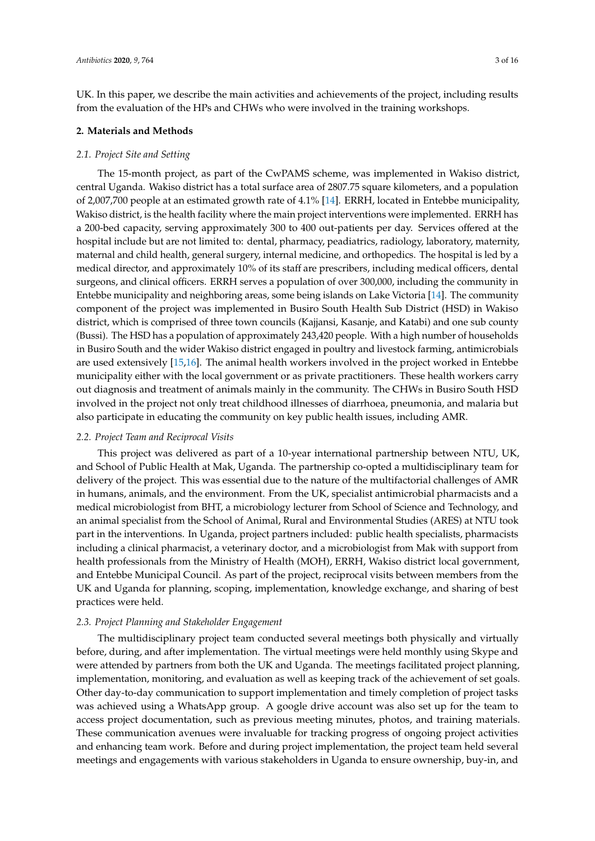UK. In this paper, we describe the main activities and achievements of the project, including results from the evaluation of the HPs and CHWs who were involved in the training workshops.

# **2. Materials and Methods**

#### *2.1. Project Site and Setting*

The 15-month project, as part of the CwPAMS scheme, was implemented in Wakiso district, central Uganda. Wakiso district has a total surface area of 2807.75 square kilometers, and a population of 2,007,700 people at an estimated growth rate of 4.1% [\[14\]](#page-14-3). ERRH, located in Entebbe municipality, Wakiso district, is the health facility where the main project interventions were implemented. ERRH has a 200-bed capacity, serving approximately 300 to 400 out-patients per day. Services offered at the hospital include but are not limited to: dental, pharmacy, peadiatrics, radiology, laboratory, maternity, maternal and child health, general surgery, internal medicine, and orthopedics. The hospital is led by a medical director, and approximately 10% of its staff are prescribers, including medical officers, dental surgeons, and clinical officers. ERRH serves a population of over 300,000, including the community in Entebbe municipality and neighboring areas, some being islands on Lake Victoria [\[14\]](#page-14-3). The community component of the project was implemented in Busiro South Health Sub District (HSD) in Wakiso district, which is comprised of three town councils (Kajjansi, Kasanje, and Katabi) and one sub county (Bussi). The HSD has a population of approximately 243,420 people. With a high number of households in Busiro South and the wider Wakiso district engaged in poultry and livestock farming, antimicrobials are used extensively [\[15](#page-14-4)[,16\]](#page-14-5). The animal health workers involved in the project worked in Entebbe municipality either with the local government or as private practitioners. These health workers carry out diagnosis and treatment of animals mainly in the community. The CHWs in Busiro South HSD involved in the project not only treat childhood illnesses of diarrhoea, pneumonia, and malaria but also participate in educating the community on key public health issues, including AMR.

# *2.2. Project Team and Reciprocal Visits*

This project was delivered as part of a 10-year international partnership between NTU, UK, and School of Public Health at Mak, Uganda. The partnership co-opted a multidisciplinary team for delivery of the project. This was essential due to the nature of the multifactorial challenges of AMR in humans, animals, and the environment. From the UK, specialist antimicrobial pharmacists and a medical microbiologist from BHT, a microbiology lecturer from School of Science and Technology, and an animal specialist from the School of Animal, Rural and Environmental Studies (ARES) at NTU took part in the interventions. In Uganda, project partners included: public health specialists, pharmacists including a clinical pharmacist, a veterinary doctor, and a microbiologist from Mak with support from health professionals from the Ministry of Health (MOH), ERRH, Wakiso district local government, and Entebbe Municipal Council. As part of the project, reciprocal visits between members from the UK and Uganda for planning, scoping, implementation, knowledge exchange, and sharing of best practices were held.

#### *2.3. Project Planning and Stakeholder Engagement*

The multidisciplinary project team conducted several meetings both physically and virtually before, during, and after implementation. The virtual meetings were held monthly using Skype and were attended by partners from both the UK and Uganda. The meetings facilitated project planning, implementation, monitoring, and evaluation as well as keeping track of the achievement of set goals. Other day-to-day communication to support implementation and timely completion of project tasks was achieved using a WhatsApp group. A google drive account was also set up for the team to access project documentation, such as previous meeting minutes, photos, and training materials. These communication avenues were invaluable for tracking progress of ongoing project activities and enhancing team work. Before and during project implementation, the project team held several meetings and engagements with various stakeholders in Uganda to ensure ownership, buy-in, and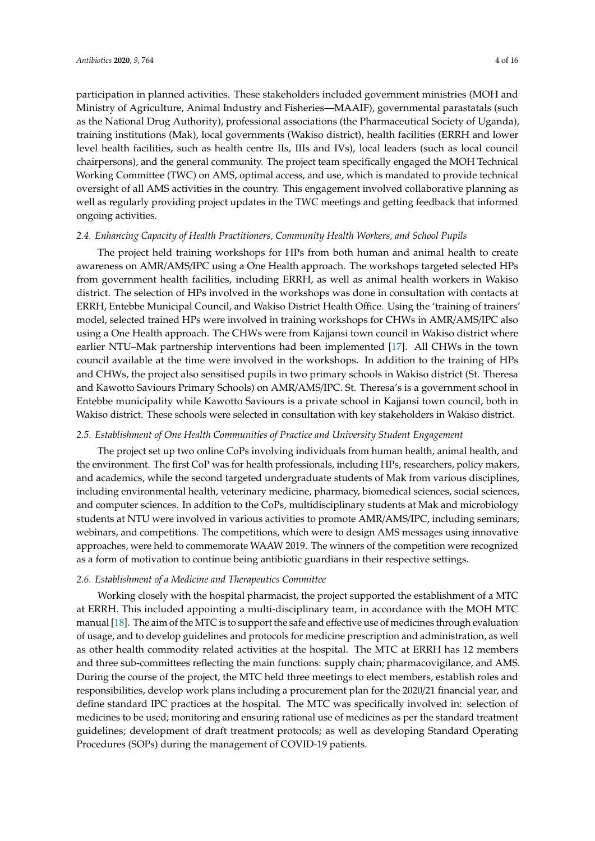participation in planned activities. These stakeholders included government ministries (MOH and Ministry of Agriculture, Animal Industry and Fisheries—MAAIF), governmental parastatals (such as the National Drug Authority), professional associations (the Pharmaceutical Society of Uganda), training institutions (Mak), local governments (Wakiso district), health facilities (ERRH and lower level health facilities, such as health centre IIs, IIIs and IVs), local leaders (such as local council chairpersons), and the general community. The project team specifically engaged the MOH Technical Working Committee (TWC) on AMS, optimal access, and use, which is mandated to provide technical oversight of all AMS activities in the country. This engagement involved collaborative planning as well as regularly providing project updates in the TWC meetings and getting feedback that informed ongoing activities.

## *2.4. Enhancing Capacity of Health Practitioners, Community Health Workers, and School Pupils*

The project held training workshops for HPs from both human and animal health to create awareness on AMR/AMS/IPC using a One Health approach. The workshops targeted selected HPs from government health facilities, including ERRH, as well as animal health workers in Wakiso district. The selection of HPs involved in the workshops was done in consultation with contacts at ERRH, Entebbe Municipal Council, and Wakiso District Health Office. Using the 'training of trainers' model, selected trained HPs were involved in training workshops for CHWs in AMR/AMS/IPC also using a One Health approach. The CHWs were from Kajjansi town council in Wakiso district where earlier NTU–Mak partnership interventions had been implemented [\[17\]](#page-14-6). All CHWs in the town council available at the time were involved in the workshops. In addition to the training of HPs and CHWs, the project also sensitised pupils in two primary schools in Wakiso district (St. Theresa and Kawotto Saviours Primary Schools) on AMR/AMS/IPC. St. Theresa's is a government school in Entebbe municipality while Kawotto Saviours is a private school in Kajjansi town council, both in Wakiso district. These schools were selected in consultation with key stakeholders in Wakiso district.

# *2.5. Establishment of One Health Communities of Practice and University Student Engagement*

The project set up two online CoPs involving individuals from human health, animal health, and the environment. The first CoP was for health professionals, including HPs, researchers, policy makers, and academics, while the second targeted undergraduate students of Mak from various disciplines, including environmental health, veterinary medicine, pharmacy, biomedical sciences, social sciences, and computer sciences. In addition to the CoPs, multidisciplinary students at Mak and microbiology students at NTU were involved in various activities to promote AMR/AMS/IPC, including seminars, webinars, and competitions. The competitions, which were to design AMS messages using innovative approaches, were held to commemorate WAAW 2019. The winners of the competition were recognized as a form of motivation to continue being antibiotic guardians in their respective settings.

#### *2.6. Establishment of a Medicine and Therapeutics Committee*

Working closely with the hospital pharmacist, the project supported the establishment of a MTC at ERRH. This included appointing a multi-disciplinary team, in accordance with the MOH MTC manual [\[18\]](#page-14-7). The aim of the MTC is to support the safe and effective use of medicines through evaluation of usage, and to develop guidelines and protocols for medicine prescription and administration, as well as other health commodity related activities at the hospital. The MTC at ERRH has 12 members and three sub-committees reflecting the main functions: supply chain; pharmacovigilance, and AMS. During the course of the project, the MTC held three meetings to elect members, establish roles and responsibilities, develop work plans including a procurement plan for the 2020/21 financial year, and define standard IPC practices at the hospital. The MTC was specifically involved in: selection of medicines to be used; monitoring and ensuring rational use of medicines as per the standard treatment guidelines; development of draft treatment protocols; as well as developing Standard Operating Procedures (SOPs) during the management of COVID-19 patients.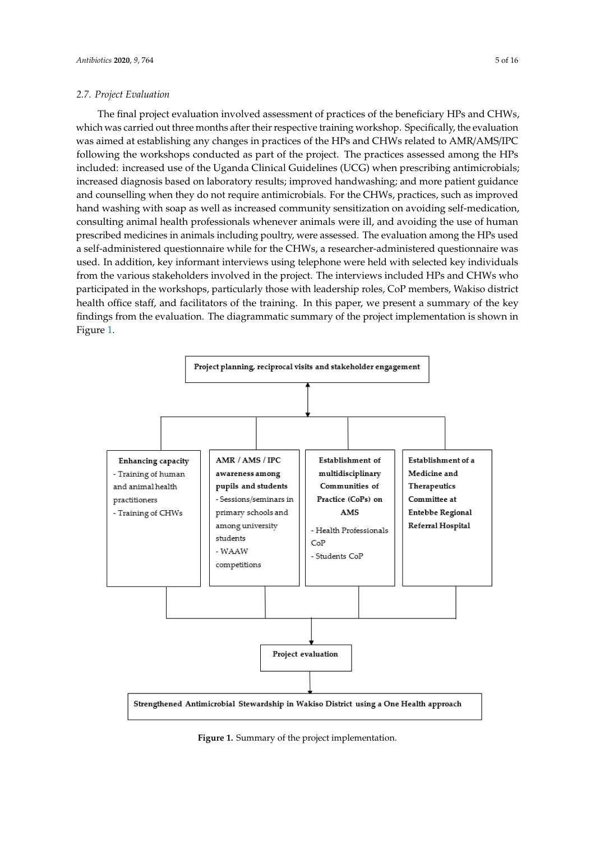#### *2.7. Project Evaluation*

The final project evaluation involved assessment of practices of the beneficiary HPs and CHWs, which was carried out three months after their respective training workshop. Specifically, the evaluation was aimed at establishing any changes in practices of the HPs and CHWs related to AMR/AMS/IPC following the workshops conducted as part of the project. The practices assessed among the HPs included: increased use of the Uganda Clinical Guidelines (UCG) when prescribing antimicrobials; increased diagnosis based on laboratory results; improved handwashing; and more patient guidance and counselling when they do not require antimicrobials. For the CHWs, practices, such as improved hand washing with soap as well as increased community sensitization on avoiding self-medication, consulting animal health professionals whenever animals were ill, and avoiding the use of human prescribed medicines in animals including poultry, were assessed. The evaluation among the HPs used a self-administered questionnaire while for the CHWs, a researcher-administered questionnaire was used. In addition, key informant interviews using telephone were held with selected key individuals from the various stakeholders involved in the project. The interviews included HPs and CHWs who participated in the workshops, particularly those with leadership roles, CoP members, Wakiso district health office staff, and facilitators of the training. In this paper, we present a summary of the key findings from the evaluation. The diagrammatic summary of the project implementation is shown in Figure [1.](#page-4-0)

<span id="page-4-0"></span>

**Figure 1.** Summary of the project implementation.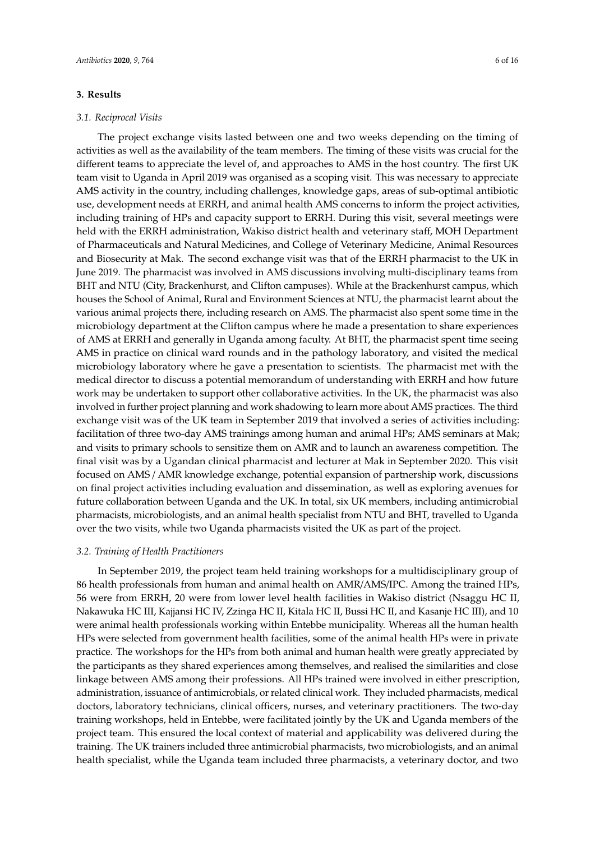### **3. Results**

#### *3.1. Reciprocal Visits*

The project exchange visits lasted between one and two weeks depending on the timing of activities as well as the availability of the team members. The timing of these visits was crucial for the different teams to appreciate the level of, and approaches to AMS in the host country. The first UK team visit to Uganda in April 2019 was organised as a scoping visit. This was necessary to appreciate AMS activity in the country, including challenges, knowledge gaps, areas of sub-optimal antibiotic use, development needs at ERRH, and animal health AMS concerns to inform the project activities, including training of HPs and capacity support to ERRH. During this visit, several meetings were held with the ERRH administration, Wakiso district health and veterinary staff, MOH Department of Pharmaceuticals and Natural Medicines, and College of Veterinary Medicine, Animal Resources and Biosecurity at Mak. The second exchange visit was that of the ERRH pharmacist to the UK in June 2019. The pharmacist was involved in AMS discussions involving multi-disciplinary teams from BHT and NTU (City, Brackenhurst, and Clifton campuses). While at the Brackenhurst campus, which houses the School of Animal, Rural and Environment Sciences at NTU, the pharmacist learnt about the various animal projects there, including research on AMS. The pharmacist also spent some time in the microbiology department at the Clifton campus where he made a presentation to share experiences of AMS at ERRH and generally in Uganda among faculty. At BHT, the pharmacist spent time seeing AMS in practice on clinical ward rounds and in the pathology laboratory, and visited the medical microbiology laboratory where he gave a presentation to scientists. The pharmacist met with the medical director to discuss a potential memorandum of understanding with ERRH and how future work may be undertaken to support other collaborative activities. In the UK, the pharmacist was also involved in further project planning and work shadowing to learn more about AMS practices. The third exchange visit was of the UK team in September 2019 that involved a series of activities including: facilitation of three two-day AMS trainings among human and animal HPs; AMS seminars at Mak; and visits to primary schools to sensitize them on AMR and to launch an awareness competition. The final visit was by a Ugandan clinical pharmacist and lecturer at Mak in September 2020. This visit focused on AMS / AMR knowledge exchange, potential expansion of partnership work, discussions on final project activities including evaluation and dissemination, as well as exploring avenues for future collaboration between Uganda and the UK. In total, six UK members, including antimicrobial pharmacists, microbiologists, and an animal health specialist from NTU and BHT, travelled to Uganda over the two visits, while two Uganda pharmacists visited the UK as part of the project.

#### *3.2. Training of Health Practitioners*

In September 2019, the project team held training workshops for a multidisciplinary group of 86 health professionals from human and animal health on AMR/AMS/IPC. Among the trained HPs, 56 were from ERRH, 20 were from lower level health facilities in Wakiso district (Nsaggu HC II, Nakawuka HC III, Kajjansi HC IV, Zzinga HC II, Kitala HC II, Bussi HC II, and Kasanje HC III), and 10 were animal health professionals working within Entebbe municipality. Whereas all the human health HPs were selected from government health facilities, some of the animal health HPs were in private practice. The workshops for the HPs from both animal and human health were greatly appreciated by the participants as they shared experiences among themselves, and realised the similarities and close linkage between AMS among their professions. All HPs trained were involved in either prescription, administration, issuance of antimicrobials, or related clinical work. They included pharmacists, medical doctors, laboratory technicians, clinical officers, nurses, and veterinary practitioners. The two-day training workshops, held in Entebbe, were facilitated jointly by the UK and Uganda members of the project team. This ensured the local context of material and applicability was delivered during the training. The UK trainers included three antimicrobial pharmacists, two microbiologists, and an animal health specialist, while the Uganda team included three pharmacists, a veterinary doctor, and two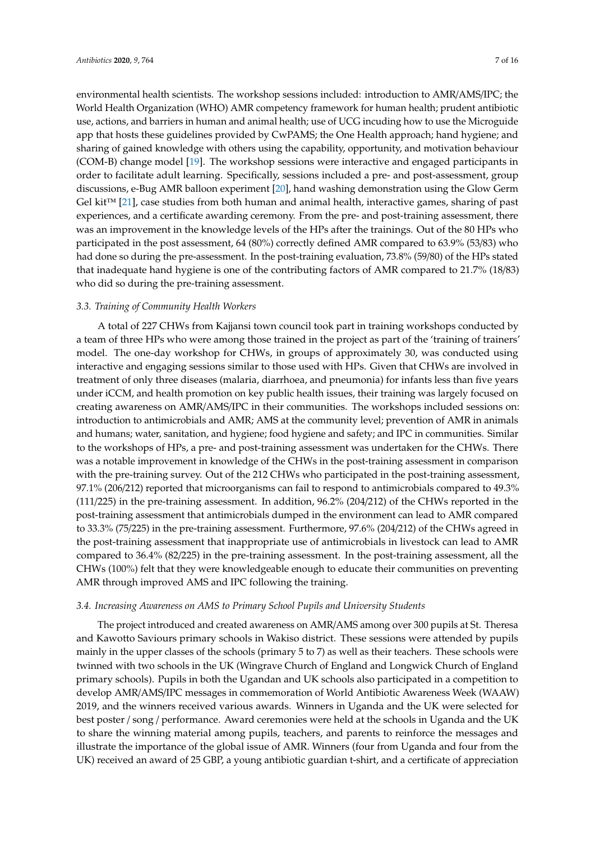environmental health scientists. The workshop sessions included: introduction to AMR/AMS/IPC; the World Health Organization (WHO) AMR competency framework for human health; prudent antibiotic use, actions, and barriers in human and animal health; use of UCG incuding how to use the Microguide app that hosts these guidelines provided by CwPAMS; the One Health approach; hand hygiene; and sharing of gained knowledge with others using the capability, opportunity, and motivation behaviour (COM-B) change model [\[19\]](#page-14-8). The workshop sessions were interactive and engaged participants in order to facilitate adult learning. Specifically, sessions included a pre- and post-assessment, group discussions, e-Bug AMR balloon experiment [\[20\]](#page-14-9), hand washing demonstration using the Glow Germ Gel kit™ [\[21\]](#page-14-10), case studies from both human and animal health, interactive games, sharing of past experiences, and a certificate awarding ceremony. From the pre- and post-training assessment, there was an improvement in the knowledge levels of the HPs after the trainings. Out of the 80 HPs who participated in the post assessment, 64 (80%) correctly defined AMR compared to 63.9% (53/83) who had done so during the pre-assessment. In the post-training evaluation, 73.8% (59/80) of the HPs stated that inadequate hand hygiene is one of the contributing factors of AMR compared to 21.7% (18/83) who did so during the pre-training assessment.

#### *3.3. Training of Community Health Workers*

A total of 227 CHWs from Kajjansi town council took part in training workshops conducted by a team of three HPs who were among those trained in the project as part of the 'training of trainers' model. The one-day workshop for CHWs, in groups of approximately 30, was conducted using interactive and engaging sessions similar to those used with HPs. Given that CHWs are involved in treatment of only three diseases (malaria, diarrhoea, and pneumonia) for infants less than five years under iCCM, and health promotion on key public health issues, their training was largely focused on creating awareness on AMR/AMS/IPC in their communities. The workshops included sessions on: introduction to antimicrobials and AMR; AMS at the community level; prevention of AMR in animals and humans; water, sanitation, and hygiene; food hygiene and safety; and IPC in communities. Similar to the workshops of HPs, a pre- and post-training assessment was undertaken for the CHWs. There was a notable improvement in knowledge of the CHWs in the post-training assessment in comparison with the pre-training survey. Out of the 212 CHWs who participated in the post-training assessment, 97.1% (206/212) reported that microorganisms can fail to respond to antimicrobials compared to 49.3% (111/225) in the pre-training assessment. In addition, 96.2% (204/212) of the CHWs reported in the post-training assessment that antimicrobials dumped in the environment can lead to AMR compared to 33.3% (75/225) in the pre-training assessment. Furthermore, 97.6% (204/212) of the CHWs agreed in the post-training assessment that inappropriate use of antimicrobials in livestock can lead to AMR compared to 36.4% (82/225) in the pre-training assessment. In the post-training assessment, all the CHWs (100%) felt that they were knowledgeable enough to educate their communities on preventing AMR through improved AMS and IPC following the training.

#### *3.4. Increasing Awareness on AMS to Primary School Pupils and University Students*

The project introduced and created awareness on AMR/AMS among over 300 pupils at St. Theresa and Kawotto Saviours primary schools in Wakiso district. These sessions were attended by pupils mainly in the upper classes of the schools (primary 5 to 7) as well as their teachers. These schools were twinned with two schools in the UK (Wingrave Church of England and Longwick Church of England primary schools). Pupils in both the Ugandan and UK schools also participated in a competition to develop AMR/AMS/IPC messages in commemoration of World Antibiotic Awareness Week (WAAW) 2019, and the winners received various awards. Winners in Uganda and the UK were selected for best poster / song / performance. Award ceremonies were held at the schools in Uganda and the UK to share the winning material among pupils, teachers, and parents to reinforce the messages and illustrate the importance of the global issue of AMR. Winners (four from Uganda and four from the UK) received an award of 25 GBP, a young antibiotic guardian t-shirt, and a certificate of appreciation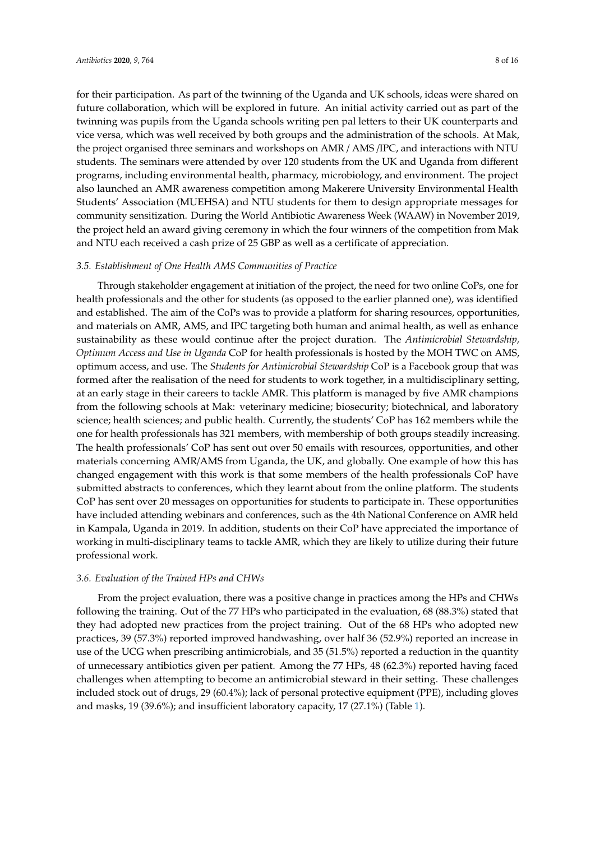for their participation. As part of the twinning of the Uganda and UK schools, ideas were shared on future collaboration, which will be explored in future. An initial activity carried out as part of the twinning was pupils from the Uganda schools writing pen pal letters to their UK counterparts and vice versa, which was well received by both groups and the administration of the schools. At Mak, the project organised three seminars and workshops on AMR / AMS /IPC, and interactions with NTU students. The seminars were attended by over 120 students from the UK and Uganda from different programs, including environmental health, pharmacy, microbiology, and environment. The project also launched an AMR awareness competition among Makerere University Environmental Health Students' Association (MUEHSA) and NTU students for them to design appropriate messages for community sensitization. During the World Antibiotic Awareness Week (WAAW) in November 2019, the project held an award giving ceremony in which the four winners of the competition from Mak and NTU each received a cash prize of 25 GBP as well as a certificate of appreciation.

#### *3.5. Establishment of One Health AMS Communities of Practice*

Through stakeholder engagement at initiation of the project, the need for two online CoPs, one for health professionals and the other for students (as opposed to the earlier planned one), was identified and established. The aim of the CoPs was to provide a platform for sharing resources, opportunities, and materials on AMR, AMS, and IPC targeting both human and animal health, as well as enhance sustainability as these would continue after the project duration. The *Antimicrobial Stewardship, Optimum Access and Use in Uganda* CoP for health professionals is hosted by the MOH TWC on AMS, optimum access, and use. The *Students for Antimicrobial Stewardship* CoP is a Facebook group that was formed after the realisation of the need for students to work together, in a multidisciplinary setting, at an early stage in their careers to tackle AMR. This platform is managed by five AMR champions from the following schools at Mak: veterinary medicine; biosecurity; biotechnical, and laboratory science; health sciences; and public health. Currently, the students' CoP has 162 members while the one for health professionals has 321 members, with membership of both groups steadily increasing. The health professionals' CoP has sent out over 50 emails with resources, opportunities, and other materials concerning AMR/AMS from Uganda, the UK, and globally. One example of how this has changed engagement with this work is that some members of the health professionals CoP have submitted abstracts to conferences, which they learnt about from the online platform. The students CoP has sent over 20 messages on opportunities for students to participate in. These opportunities have included attending webinars and conferences, such as the 4th National Conference on AMR held in Kampala, Uganda in 2019. In addition, students on their CoP have appreciated the importance of working in multi-disciplinary teams to tackle AMR, which they are likely to utilize during their future professional work.

#### *3.6. Evaluation of the Trained HPs and CHWs*

From the project evaluation, there was a positive change in practices among the HPs and CHWs following the training. Out of the 77 HPs who participated in the evaluation, 68 (88.3%) stated that they had adopted new practices from the project training. Out of the 68 HPs who adopted new practices, 39 (57.3%) reported improved handwashing, over half 36 (52.9%) reported an increase in use of the UCG when prescribing antimicrobials, and 35 (51.5%) reported a reduction in the quantity of unnecessary antibiotics given per patient. Among the 77 HPs, 48 (62.3%) reported having faced challenges when attempting to become an antimicrobial steward in their setting. These challenges included stock out of drugs, 29 (60.4%); lack of personal protective equipment (PPE), including gloves and masks, 19 (39.6%); and insufficient laboratory capacity, 17 (27.1%) (Table [1\)](#page-8-0).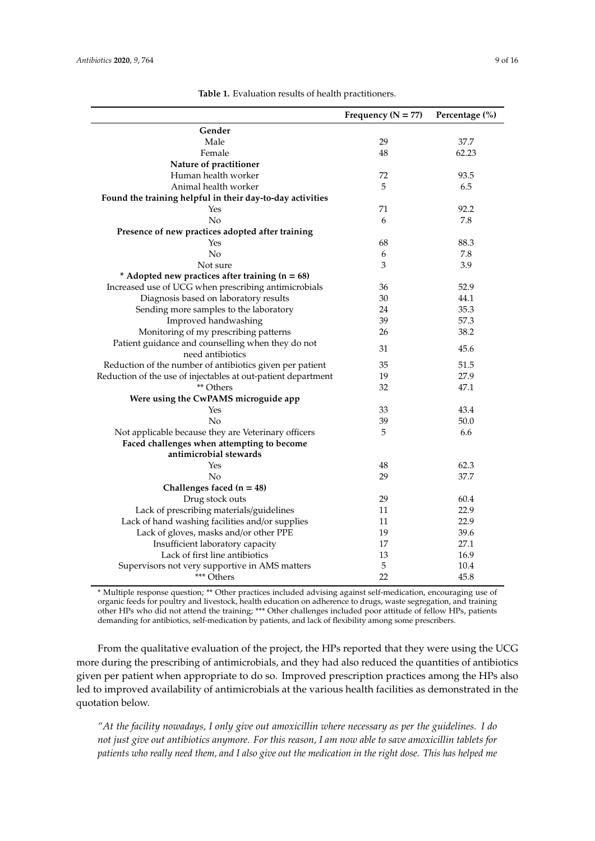<span id="page-8-0"></span>

|                                                               | Frequency ( $N = 77$ ) | Percentage (%) |
|---------------------------------------------------------------|------------------------|----------------|
| Gender                                                        |                        |                |
| Male                                                          | 29                     | 37.7           |
| Female                                                        | 48                     | 62.23          |
| Nature of practitioner                                        |                        |                |
| Human health worker                                           | 72                     | 93.5           |
| Animal health worker                                          | 5                      | 6.5            |
| Found the training helpful in their day-to-day activities     |                        |                |
| Yes                                                           | 71                     | 92.2           |
| No                                                            | 6                      | 7.8            |
| Presence of new practices adopted after training              |                        |                |
| Yes                                                           | 68                     | 88.3           |
| No                                                            | 6                      | 7.8            |
| Not sure                                                      | 3                      | 3.9            |
| * Adopted new practices after training $(n = 68)$             |                        |                |
| Increased use of UCG when prescribing antimicrobials          | 36                     | 52.9           |
| Diagnosis based on laboratory results                         | 30                     | 44.1           |
| Sending more samples to the laboratory                        | 24                     | 35.3           |
| Improved handwashing                                          | 39                     | 57.3           |
| Monitoring of my prescribing patterns                         | 26                     | 38.2           |
| Patient guidance and counselling when they do not             |                        |                |
| need antibiotics                                              | 31                     | 45.6           |
| Reduction of the number of antibiotics given per patient      | 35                     | 51.5           |
| Reduction of the use of injectables at out-patient department | 19                     | 27.9           |
| ** Others                                                     | 32                     | 47.1           |
| Were using the CwPAMS microguide app                          |                        |                |
| Yes                                                           | 33                     | 43.4           |
| No                                                            | 39                     | 50.0           |
| Not applicable because they are Veterinary officers           | 5                      | 6.6            |
| Faced challenges when attempting to become                    |                        |                |
| antimicrobial stewards                                        |                        |                |
| Yes                                                           | 48                     | 62.3           |
| No                                                            | 29                     | 37.7           |
| Challenges faced $(n = 48)$                                   |                        |                |
| Drug stock outs                                               | 29                     | 60.4           |
| Lack of prescribing materials/guidelines                      | 11                     | 22.9           |
| Lack of hand washing facilities and/or supplies               | 11                     | 22.9           |
| Lack of gloves, masks and/or other PPE                        | 19                     | 39.6           |
| Insufficient laboratory capacity                              | 17                     | 27.1           |
| Lack of first line antibiotics                                | 13                     | 16.9           |
| Supervisors not very supportive in AMS matters                | 5                      | 10.4           |
| *** Others                                                    | 22                     | 45.8           |

**Table 1.** Evaluation results of health practitioners.

\* Multiple response question; \*\* Other practices included advising against self-medication, encouraging use of organic feeds for poultry and livestock, health education on adherence to drugs, waste segregation, and training other HPs who did not attend the training; \*\*\* Other challenges included poor attitude of fellow HPs, patients demanding for antibiotics, self-medication by patients, and lack of flexibility among some prescribers.

From the qualitative evaluation of the project, the HPs reported that they were using the UCG more during the prescribing of antimicrobials, and they had also reduced the quantities of antibiotics given per patient when appropriate to do so. Improved prescription practices among the HPs also led to improved availability of antimicrobials at the various health facilities as demonstrated in the quotation below.

*"At the facility nowadays, I only give out amoxicillin where necessary as per the guidelines. I do not just give out antibiotics anymore. For this reason, I am now able to save amoxicillin tablets for patients who really need them, and I also give out the medication in the right dose. This has helped me*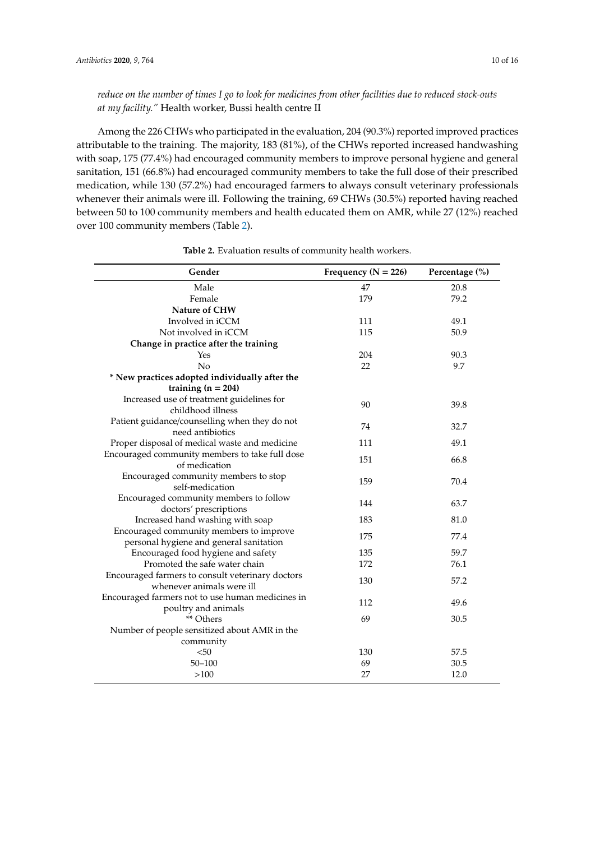*reduce on the number of times I go to look for medicines from other facilities due to reduced stock-outs at my facility."* Health worker, Bussi health centre II

Among the 226 CHWs who participated in the evaluation, 204 (90.3%) reported improved practices attributable to the training. The majority, 183 (81%), of the CHWs reported increased handwashing with soap, 175 (77.4%) had encouraged community members to improve personal hygiene and general sanitation, 151 (66.8%) had encouraged community members to take the full dose of their prescribed medication, while 130 (57.2%) had encouraged farmers to always consult veterinary professionals whenever their animals were ill. Following the training, 69 CHWs (30.5%) reported having reached between 50 to 100 community members and health educated them on AMR, while 27 (12%) reached over 100 community members (Table [2\)](#page-10-0).

| Gender                                                                                          | Frequency ( $N = 226$ ) | Percentage (%) |
|-------------------------------------------------------------------------------------------------|-------------------------|----------------|
| Male                                                                                            | 47                      | 20.8           |
| Female                                                                                          | 179                     | 79.2           |
| Nature of CHW                                                                                   |                         |                |
| Involved in iCCM                                                                                | 111                     | 49.1           |
| Not involved in iCCM                                                                            | 115                     | 50.9           |
| Change in practice after the training                                                           |                         |                |
| Yes                                                                                             | 204                     | 90.3           |
| $\overline{N}$                                                                                  | 22                      | 9.7            |
| * New practices adopted individually after the                                                  |                         |                |
| training $(n = 204)$                                                                            |                         |                |
| Increased use of treatment guidelines for                                                       | 90                      | 39.8           |
| childhood illness                                                                               |                         |                |
| Patient guidance/counselling when they do not                                                   | 74                      | 32.7           |
| need antibiotics                                                                                | 111                     | 49.1           |
| Proper disposal of medical waste and medicine<br>Encouraged community members to take full dose |                         |                |
| of medication                                                                                   | 151                     | 66.8           |
| Encouraged community members to stop                                                            |                         |                |
| self-medication                                                                                 | 159                     | 70.4           |
| Encouraged community members to follow                                                          |                         |                |
| doctors' prescriptions                                                                          | 144                     | 63.7           |
| Increased hand washing with soap                                                                | 183                     | 81.0           |
| Encouraged community members to improve                                                         | 175                     | 77.4           |
| personal hygiene and general sanitation                                                         |                         |                |
| Encouraged food hygiene and safety                                                              | 135                     | 59.7           |
| Promoted the safe water chain                                                                   | 172                     | 76.1           |
| Encouraged farmers to consult veterinary doctors                                                | 130                     | 57.2           |
| whenever animals were ill                                                                       |                         |                |
| Encouraged farmers not to use human medicines in                                                | 112                     | 49.6           |
| poultry and animals                                                                             |                         |                |
| ** Others                                                                                       | 69                      | 30.5           |
| Number of people sensitized about AMR in the                                                    |                         |                |
| community                                                                                       |                         |                |
| $50$                                                                                            | 130                     | 57.5           |
| $50 - 100$                                                                                      | 69                      | 30.5           |
| >100                                                                                            | 27                      | 12.0           |

**Table 2.** Evaluation results of community health workers.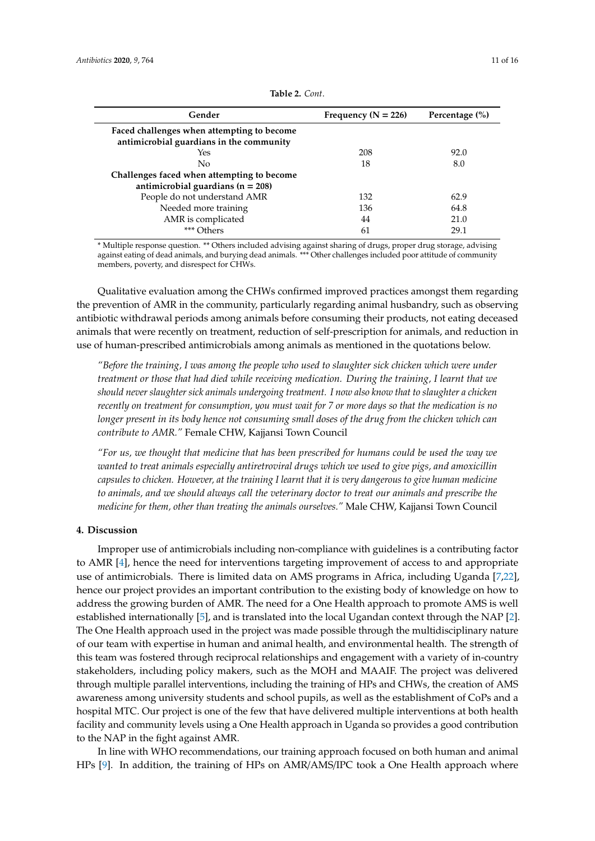<span id="page-10-0"></span>

| Gender                                     | Frequency ( $N = 226$ ) | Percentage $(\% )$ |
|--------------------------------------------|-------------------------|--------------------|
| Faced challenges when attempting to become |                         |                    |
| antimicrobial guardians in the community   |                         |                    |
| Yes                                        | 208                     | 92.0               |
| No                                         | 18                      | 8.0                |
| Challenges faced when attempting to become |                         |                    |
| antimicrobial guardians ( $n = 208$ )      |                         |                    |
| People do not understand AMR               | 132                     | 62.9               |
| Needed more training                       | 136                     | 64.8               |
| AMR is complicated                         | 44                      | 21.0               |
| *** Others                                 | 61                      | 29.1               |

**Table 2.** *Cont*.

\* Multiple response question. \*\* Others included advising against sharing of drugs, proper drug storage, advising against eating of dead animals, and burying dead animals. \*\*\* Other challenges included poor attitude of community members, poverty, and disrespect for CHWs.

Qualitative evaluation among the CHWs confirmed improved practices amongst them regarding the prevention of AMR in the community, particularly regarding animal husbandry, such as observing antibiotic withdrawal periods among animals before consuming their products, not eating deceased animals that were recently on treatment, reduction of self-prescription for animals, and reduction in use of human-prescribed antimicrobials among animals as mentioned in the quotations below.

*"Before the training, I was among the people who used to slaughter sick chicken which were under treatment or those that had died while receiving medication. During the training, I learnt that we should never slaughter sick animals undergoing treatment. I now also know that to slaughter a chicken recently on treatment for consumption, you must wait for 7 or more days so that the medication is no longer present in its body hence not consuming small doses of the drug from the chicken which can contribute to AMR."* Female CHW, Kajjansi Town Council

*"For us, we thought that medicine that has been prescribed for humans could be used the way we wanted to treat animals especially antiretroviral drugs which we used to give pigs, and amoxicillin capsules to chicken. However, at the training I learnt that it is very dangerous to give human medicine to animals, and we should always call the veterinary doctor to treat our animals and prescribe the medicine for them, other than treating the animals ourselves."* Male CHW, Kajjansi Town Council

#### **4. Discussion**

Improper use of antimicrobials including non-compliance with guidelines is a contributing factor to AMR [\[4\]](#page-13-2), hence the need for interventions targeting improvement of access to and appropriate use of antimicrobials. There is limited data on AMS programs in Africa, including Uganda [\[7,](#page-13-5)[22\]](#page-14-11), hence our project provides an important contribution to the existing body of knowledge on how to address the growing burden of AMR. The need for a One Health approach to promote AMS is well established internationally [\[5\]](#page-13-3), and is translated into the local Ugandan context through the NAP [\[2\]](#page-13-1). The One Health approach used in the project was made possible through the multidisciplinary nature of our team with expertise in human and animal health, and environmental health. The strength of this team was fostered through reciprocal relationships and engagement with a variety of in-country stakeholders, including policy makers, such as the MOH and MAAIF. The project was delivered through multiple parallel interventions, including the training of HPs and CHWs, the creation of AMS awareness among university students and school pupils, as well as the establishment of CoPs and a hospital MTC. Our project is one of the few that have delivered multiple interventions at both health facility and community levels using a One Health approach in Uganda so provides a good contribution to the NAP in the fight against AMR.

In line with WHO recommendations, our training approach focused on both human and animal HPs [\[9\]](#page-13-8). In addition, the training of HPs on AMR/AMS/IPC took a One Health approach where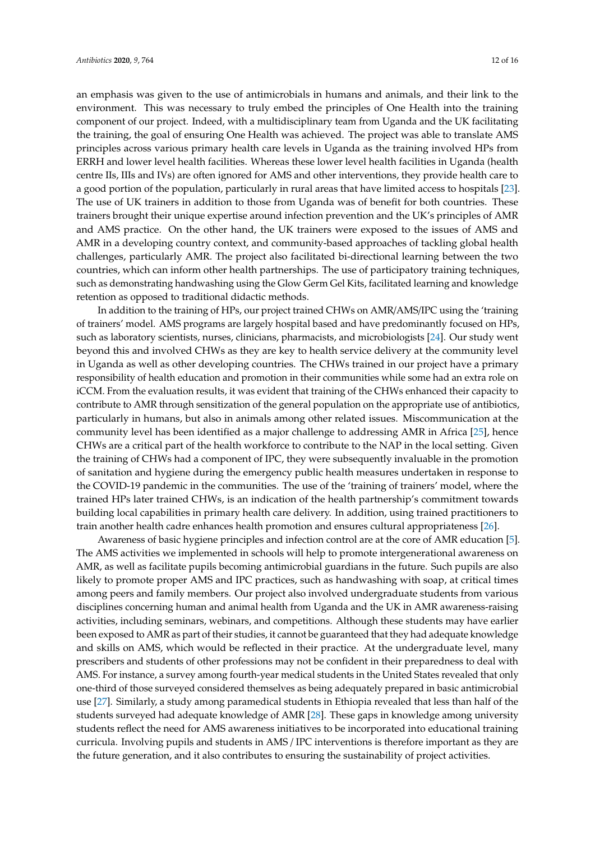an emphasis was given to the use of antimicrobials in humans and animals, and their link to the environment. This was necessary to truly embed the principles of One Health into the training component of our project. Indeed, with a multidisciplinary team from Uganda and the UK facilitating the training, the goal of ensuring One Health was achieved. The project was able to translate AMS principles across various primary health care levels in Uganda as the training involved HPs from ERRH and lower level health facilities. Whereas these lower level health facilities in Uganda (health centre IIs, IIIs and IVs) are often ignored for AMS and other interventions, they provide health care to a good portion of the population, particularly in rural areas that have limited access to hospitals [\[23\]](#page-14-12). The use of UK trainers in addition to those from Uganda was of benefit for both countries. These trainers brought their unique expertise around infection prevention and the UK's principles of AMR and AMS practice. On the other hand, the UK trainers were exposed to the issues of AMS and AMR in a developing country context, and community-based approaches of tackling global health challenges, particularly AMR. The project also facilitated bi-directional learning between the two countries, which can inform other health partnerships. The use of participatory training techniques, such as demonstrating handwashing using the Glow Germ Gel Kits, facilitated learning and knowledge retention as opposed to traditional didactic methods.

In addition to the training of HPs, our project trained CHWs on AMR/AMS/IPC using the 'training of trainers' model. AMS programs are largely hospital based and have predominantly focused on HPs, such as laboratory scientists, nurses, clinicians, pharmacists, and microbiologists [\[24\]](#page-14-13). Our study went beyond this and involved CHWs as they are key to health service delivery at the community level in Uganda as well as other developing countries. The CHWs trained in our project have a primary responsibility of health education and promotion in their communities while some had an extra role on iCCM. From the evaluation results, it was evident that training of the CHWs enhanced their capacity to contribute to AMR through sensitization of the general population on the appropriate use of antibiotics, particularly in humans, but also in animals among other related issues. Miscommunication at the community level has been identified as a major challenge to addressing AMR in Africa [\[25\]](#page-14-14), hence CHWs are a critical part of the health workforce to contribute to the NAP in the local setting. Given the training of CHWs had a component of IPC, they were subsequently invaluable in the promotion of sanitation and hygiene during the emergency public health measures undertaken in response to the COVID-19 pandemic in the communities. The use of the 'training of trainers' model, where the trained HPs later trained CHWs, is an indication of the health partnership's commitment towards building local capabilities in primary health care delivery. In addition, using trained practitioners to train another health cadre enhances health promotion and ensures cultural appropriateness [\[26\]](#page-14-15).

Awareness of basic hygiene principles and infection control are at the core of AMR education [\[5\]](#page-13-3). The AMS activities we implemented in schools will help to promote intergenerational awareness on AMR, as well as facilitate pupils becoming antimicrobial guardians in the future. Such pupils are also likely to promote proper AMS and IPC practices, such as handwashing with soap, at critical times among peers and family members. Our project also involved undergraduate students from various disciplines concerning human and animal health from Uganda and the UK in AMR awareness-raising activities, including seminars, webinars, and competitions. Although these students may have earlier been exposed to AMR as part of their studies, it cannot be guaranteed that they had adequate knowledge and skills on AMS, which would be reflected in their practice. At the undergraduate level, many prescribers and students of other professions may not be confident in their preparedness to deal with AMS. For instance, a survey among fourth-year medical students in the United States revealed that only one-third of those surveyed considered themselves as being adequately prepared in basic antimicrobial use [\[27\]](#page-14-16). Similarly, a study among paramedical students in Ethiopia revealed that less than half of the students surveyed had adequate knowledge of AMR [\[28\]](#page-14-17). These gaps in knowledge among university students reflect the need for AMS awareness initiatives to be incorporated into educational training curricula. Involving pupils and students in AMS / IPC interventions is therefore important as they are the future generation, and it also contributes to ensuring the sustainability of project activities.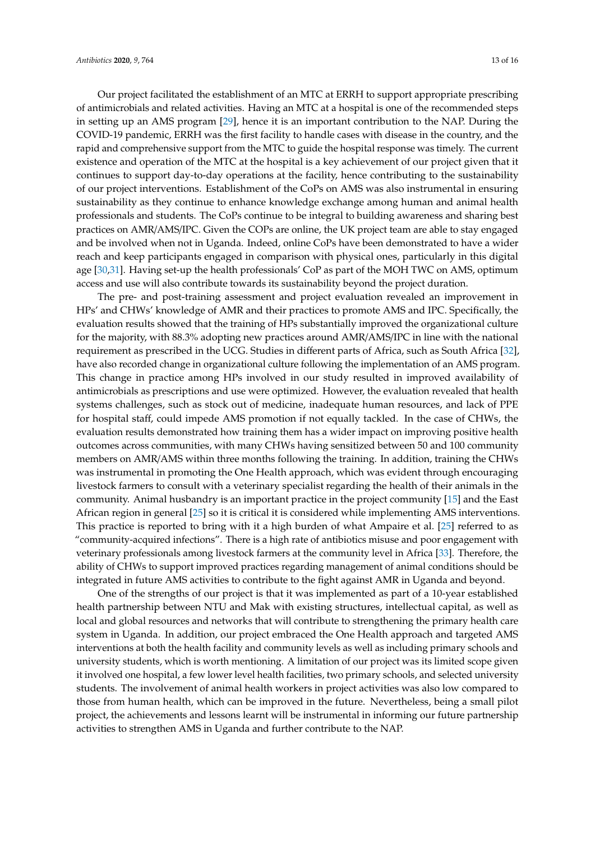Our project facilitated the establishment of an MTC at ERRH to support appropriate prescribing of antimicrobials and related activities. Having an MTC at a hospital is one of the recommended steps in setting up an AMS program [\[29\]](#page-14-18), hence it is an important contribution to the NAP. During the COVID-19 pandemic, ERRH was the first facility to handle cases with disease in the country, and the rapid and comprehensive support from the MTC to guide the hospital response was timely. The current existence and operation of the MTC at the hospital is a key achievement of our project given that it continues to support day-to-day operations at the facility, hence contributing to the sustainability of our project interventions. Establishment of the CoPs on AMS was also instrumental in ensuring sustainability as they continue to enhance knowledge exchange among human and animal health professionals and students. The CoPs continue to be integral to building awareness and sharing best practices on AMR/AMS/IPC. Given the COPs are online, the UK project team are able to stay engaged and be involved when not in Uganda. Indeed, online CoPs have been demonstrated to have a wider reach and keep participants engaged in comparison with physical ones, particularly in this digital age [\[30](#page-14-19)[,31\]](#page-14-20). Having set-up the health professionals' CoP as part of the MOH TWC on AMS, optimum access and use will also contribute towards its sustainability beyond the project duration.

The pre- and post-training assessment and project evaluation revealed an improvement in HPs' and CHWs' knowledge of AMR and their practices to promote AMS and IPC. Specifically, the evaluation results showed that the training of HPs substantially improved the organizational culture for the majority, with 88.3% adopting new practices around AMR/AMS/IPC in line with the national requirement as prescribed in the UCG. Studies in different parts of Africa, such as South Africa [\[32\]](#page-15-0), have also recorded change in organizational culture following the implementation of an AMS program. This change in practice among HPs involved in our study resulted in improved availability of antimicrobials as prescriptions and use were optimized. However, the evaluation revealed that health systems challenges, such as stock out of medicine, inadequate human resources, and lack of PPE for hospital staff, could impede AMS promotion if not equally tackled. In the case of CHWs, the evaluation results demonstrated how training them has a wider impact on improving positive health outcomes across communities, with many CHWs having sensitized between 50 and 100 community members on AMR/AMS within three months following the training. In addition, training the CHWs was instrumental in promoting the One Health approach, which was evident through encouraging livestock farmers to consult with a veterinary specialist regarding the health of their animals in the community. Animal husbandry is an important practice in the project community [\[15\]](#page-14-4) and the East African region in general [\[25\]](#page-14-14) so it is critical it is considered while implementing AMS interventions. This practice is reported to bring with it a high burden of what Ampaire et al. [\[25\]](#page-14-14) referred to as "community-acquired infections". There is a high rate of antibiotics misuse and poor engagement with veterinary professionals among livestock farmers at the community level in Africa [\[33\]](#page-15-1). Therefore, the ability of CHWs to support improved practices regarding management of animal conditions should be integrated in future AMS activities to contribute to the fight against AMR in Uganda and beyond.

One of the strengths of our project is that it was implemented as part of a 10-year established health partnership between NTU and Mak with existing structures, intellectual capital, as well as local and global resources and networks that will contribute to strengthening the primary health care system in Uganda. In addition, our project embraced the One Health approach and targeted AMS interventions at both the health facility and community levels as well as including primary schools and university students, which is worth mentioning. A limitation of our project was its limited scope given it involved one hospital, a few lower level health facilities, two primary schools, and selected university students. The involvement of animal health workers in project activities was also low compared to those from human health, which can be improved in the future. Nevertheless, being a small pilot project, the achievements and lessons learnt will be instrumental in informing our future partnership activities to strengthen AMS in Uganda and further contribute to the NAP.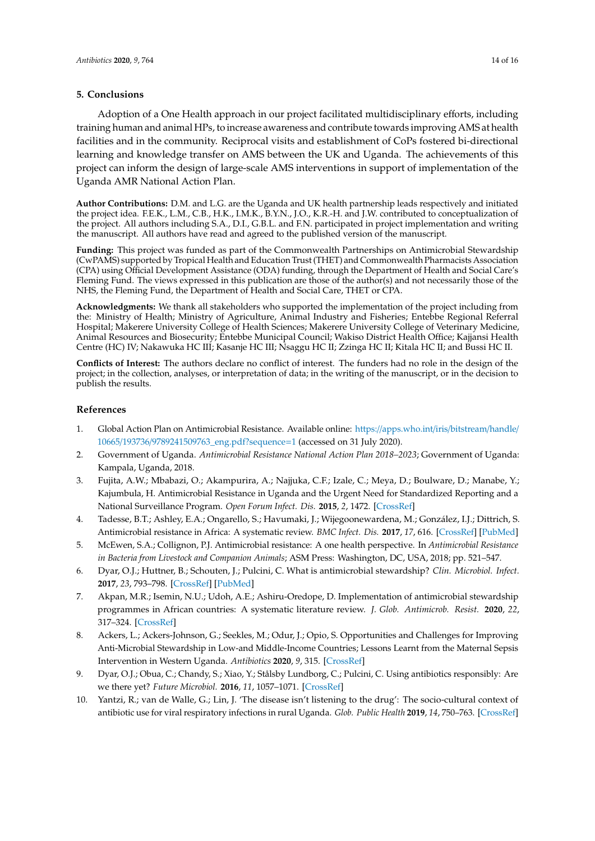# **5. Conclusions**

Adoption of a One Health approach in our project facilitated multidisciplinary efforts, including training human and animal HPs, to increase awareness and contribute towards improving AMS at health facilities and in the community. Reciprocal visits and establishment of CoPs fostered bi-directional learning and knowledge transfer on AMS between the UK and Uganda. The achievements of this project can inform the design of large-scale AMS interventions in support of implementation of the Uganda AMR National Action Plan.

**Author Contributions:** D.M. and L.G. are the Uganda and UK health partnership leads respectively and initiated the project idea. F.E.K., L.M., C.B., H.K., I.M.K., B.Y.N., J.O., K.R.-H. and J.W. contributed to conceptualization of the project. All authors including S.A., D.I., G.B.L. and F.N. participated in project implementation and writing the manuscript. All authors have read and agreed to the published version of the manuscript.

**Funding:** This project was funded as part of the Commonwealth Partnerships on Antimicrobial Stewardship (CwPAMS) supported by Tropical Health and Education Trust (THET) and Commonwealth Pharmacists Association (CPA) using Official Development Assistance (ODA) funding, through the Department of Health and Social Care's Fleming Fund. The views expressed in this publication are those of the author(s) and not necessarily those of the NHS, the Fleming Fund, the Department of Health and Social Care, THET or CPA.

**Acknowledgments:** We thank all stakeholders who supported the implementation of the project including from the: Ministry of Health; Ministry of Agriculture, Animal Industry and Fisheries; Entebbe Regional Referral Hospital; Makerere University College of Health Sciences; Makerere University College of Veterinary Medicine, Animal Resources and Biosecurity; Entebbe Municipal Council; Wakiso District Health Office; Kajjansi Health Centre (HC) IV; Nakawuka HC III; Kasanje HC III; Nsaggu HC II; Zzinga HC II; Kitala HC II; and Bussi HC II.

**Conflicts of Interest:** The authors declare no conflict of interest. The funders had no role in the design of the project; in the collection, analyses, or interpretation of data; in the writing of the manuscript, or in the decision to publish the results.

# **References**

- <span id="page-13-0"></span>1. Global Action Plan on Antimicrobial Resistance. Available online: https://[apps.who.int](https://apps.who.int/iris/bitstream/handle/10665/193736/9789241509763_eng.pdf?sequence=1)/iris/bitstream/handle/ 10665/193736/[9789241509763\\_eng.pdf?sequence](https://apps.who.int/iris/bitstream/handle/10665/193736/9789241509763_eng.pdf?sequence=1)=1 (accessed on 31 July 2020).
- <span id="page-13-1"></span>2. Government of Uganda. *Antimicrobial Resistance National Action Plan 2018–2023*; Government of Uganda: Kampala, Uganda, 2018.
- 3. Fujita, A.W.; Mbabazi, O.; Akampurira, A.; Najjuka, C.F.; Izale, C.; Meya, D.; Boulware, D.; Manabe, Y.; Kajumbula, H. Antimicrobial Resistance in Uganda and the Urgent Need for Standardized Reporting and a National Surveillance Program. *Open Forum Infect. Dis.* **2015**, *2*, 1472. [\[CrossRef\]](http://dx.doi.org/10.1093/ofid/ofv133.1025)
- <span id="page-13-2"></span>4. Tadesse, B.T.; Ashley, E.A.; Ongarello, S.; Havumaki, J.; Wijegoonewardena, M.; González, I.J.; Dittrich, S. Antimicrobial resistance in Africa: A systematic review. *BMC Infect. Dis.* **2017**, *17*, 616. [\[CrossRef\]](http://dx.doi.org/10.1186/s12879-017-2713-1) [\[PubMed\]](http://www.ncbi.nlm.nih.gov/pubmed/28893183)
- <span id="page-13-3"></span>5. McEwen, S.A.; Collignon, P.J. Antimicrobial resistance: A one health perspective. In *Antimicrobial Resistance in Bacteria from Livestock and Companion Animals*; ASM Press: Washington, DC, USA, 2018; pp. 521–547.
- <span id="page-13-4"></span>6. Dyar, O.J.; Huttner, B.; Schouten, J.; Pulcini, C. What is antimicrobial stewardship? *Clin. Microbiol. Infect.* **2017**, *23*, 793–798. [\[CrossRef\]](http://dx.doi.org/10.1016/j.cmi.2017.08.026) [\[PubMed\]](http://www.ncbi.nlm.nih.gov/pubmed/28882725)
- <span id="page-13-5"></span>7. Akpan, M.R.; Isemin, N.U.; Udoh, A.E.; Ashiru-Oredope, D. Implementation of antimicrobial stewardship programmes in African countries: A systematic literature review. *J. Glob. Antimicrob. Resist.* **2020**, *22*, 317–324. [\[CrossRef\]](http://dx.doi.org/10.1016/j.jgar.2020.03.009)
- <span id="page-13-6"></span>8. Ackers, L.; Ackers-Johnson, G.; Seekles, M.; Odur, J.; Opio, S. Opportunities and Challenges for Improving Anti-Microbial Stewardship in Low-and Middle-Income Countries; Lessons Learnt from the Maternal Sepsis Intervention in Western Uganda. *Antibiotics* **2020**, *9*, 315. [\[CrossRef\]](http://dx.doi.org/10.3390/antibiotics9060315)
- <span id="page-13-8"></span>9. Dyar, O.J.; Obua, C.; Chandy, S.; Xiao, Y.; Stålsby Lundborg, C.; Pulcini, C. Using antibiotics responsibly: Are we there yet? *Future Microbiol.* **2016**, *11*, 1057–1071. [\[CrossRef\]](http://dx.doi.org/10.2217/fmb-2016-0041)
- <span id="page-13-7"></span>10. Yantzi, R.; van de Walle, G.; Lin, J. 'The disease isn't listening to the drug': The socio-cultural context of antibiotic use for viral respiratory infections in rural Uganda. *Glob. Public Health* **2019**, *14*, 750–763. [\[CrossRef\]](http://dx.doi.org/10.1080/17441692.2018.1542017)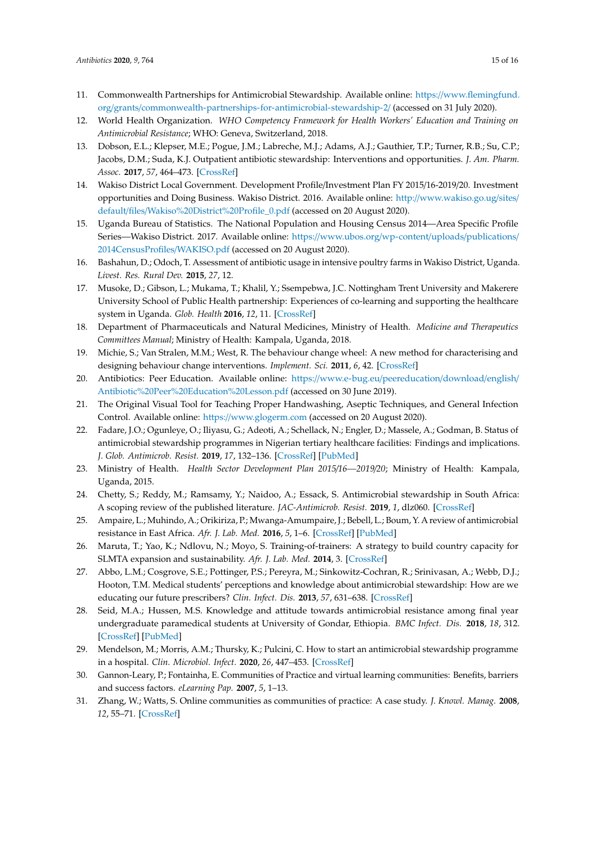- <span id="page-14-0"></span>11. Commonwealth Partnerships for Antimicrobial Stewardship. Available online: https://[www.flemingfund.](https://www.flemingfund.org/grants/commonwealth-partnerships-for-antimicrobial-stewardship-2/) org/grants/[commonwealth-partnerships-for-antimicrobial-stewardship-2](https://www.flemingfund.org/grants/commonwealth-partnerships-for-antimicrobial-stewardship-2/)/ (accessed on 31 July 2020).
- <span id="page-14-1"></span>12. World Health Organization. *WHO Competency Framework for Health Workers' Education and Training on Antimicrobial Resistance*; WHO: Geneva, Switzerland, 2018.
- <span id="page-14-2"></span>13. Dobson, E.L.; Klepser, M.E.; Pogue, J.M.; Labreche, M.J.; Adams, A.J.; Gauthier, T.P.; Turner, R.B.; Su, C.P.; Jacobs, D.M.; Suda, K.J. Outpatient antibiotic stewardship: Interventions and opportunities. *J. Am. Pharm. Assoc.* **2017**, *57*, 464–473. [\[CrossRef\]](http://dx.doi.org/10.1016/j.japh.2017.03.014)
- <span id="page-14-3"></span>14. Wakiso District Local Government. Development Profile/Investment Plan FY 2015/16-2019/20. Investment opportunities and Doing Business. Wakiso District. 2016. Available online: http://[www.wakiso.go.ug](http://www.wakiso.go.ug/sites/default/files/Wakiso%20District%20Profile_0.pdf)/sites/ default/files/[Wakiso%20District%20Profile\\_0.pdf](http://www.wakiso.go.ug/sites/default/files/Wakiso%20District%20Profile_0.pdf) (accessed on 20 August 2020).
- <span id="page-14-4"></span>15. Uganda Bureau of Statistics. The National Population and Housing Census 2014—Area Specific Profile Series—Wakiso District. 2017. Available online: https://[www.ubos.org](https://www.ubos.org/wp-content/uploads/publications/2014CensusProfiles/WAKISO.pdf)/wp-content/uploads/publications/ [2014CensusProfiles](https://www.ubos.org/wp-content/uploads/publications/2014CensusProfiles/WAKISO.pdf)/WAKISO.pdf (accessed on 20 August 2020).
- <span id="page-14-5"></span>16. Bashahun, D.; Odoch, T. Assessment of antibiotic usage in intensive poultry farms in Wakiso District, Uganda. *Livest. Res. Rural Dev.* **2015**, *27*, 12.
- <span id="page-14-6"></span>17. Musoke, D.; Gibson, L.; Mukama, T.; Khalil, Y.; Ssempebwa, J.C. Nottingham Trent University and Makerere University School of Public Health partnership: Experiences of co-learning and supporting the healthcare system in Uganda. *Glob. Health* **2016**, *12*, 11. [\[CrossRef\]](http://dx.doi.org/10.1186/s12992-016-0148-x)
- <span id="page-14-7"></span>18. Department of Pharmaceuticals and Natural Medicines, Ministry of Health. *Medicine and Therapeutics Committees Manual*; Ministry of Health: Kampala, Uganda, 2018.
- <span id="page-14-8"></span>19. Michie, S.; Van Stralen, M.M.; West, R. The behaviour change wheel: A new method for characterising and designing behaviour change interventions. *Implement. Sci.* **2011**, *6*, 42. [\[CrossRef\]](http://dx.doi.org/10.1186/1748-5908-6-42)
- <span id="page-14-9"></span>20. Antibiotics: Peer Education. Available online: https://[www.e-bug.eu](https://www.e-bug.eu/peereducation/download/english/Antibiotic%20Peer%20Education%20Lesson.pdf)/peereducation/download/english/ [Antibiotic%20Peer%20Education%20Lesson.pdf](https://www.e-bug.eu/peereducation/download/english/Antibiotic%20Peer%20Education%20Lesson.pdf) (accessed on 30 June 2019).
- <span id="page-14-10"></span>21. The Original Visual Tool for Teaching Proper Handwashing, Aseptic Techniques, and General Infection Control. Available online: https://[www.glogerm.com](https://www.glogerm.com) (accessed on 20 August 2020).
- <span id="page-14-11"></span>22. Fadare, J.O.; Ogunleye, O.; Iliyasu, G.; Adeoti, A.; Schellack, N.; Engler, D.; Massele, A.; Godman, B. Status of antimicrobial stewardship programmes in Nigerian tertiary healthcare facilities: Findings and implications. *J. Glob. Antimicrob. Resist.* **2019**, *17*, 132–136. [\[CrossRef\]](http://dx.doi.org/10.1016/j.jgar.2018.11.025) [\[PubMed\]](http://www.ncbi.nlm.nih.gov/pubmed/30557686)
- <span id="page-14-12"></span>23. Ministry of Health. *Health Sector Development Plan 2015*/*16—2019*/*20*; Ministry of Health: Kampala, Uganda, 2015.
- <span id="page-14-13"></span>24. Chetty, S.; Reddy, M.; Ramsamy, Y.; Naidoo, A.; Essack, S. Antimicrobial stewardship in South Africa: A scoping review of the published literature. *JAC-Antimicrob. Resist.* **2019**, *1*, dlz060. [\[CrossRef\]](http://dx.doi.org/10.1093/jacamr/dlz060)
- <span id="page-14-14"></span>25. Ampaire, L.; Muhindo, A.; Orikiriza, P.; Mwanga-Amumpaire, J.; Bebell, L.; Boum, Y. A review of antimicrobial resistance in East Africa. *Afr. J. Lab. Med.* **2016**, *5*, 1–6. [\[CrossRef\]](http://dx.doi.org/10.4102/ajlm.v5i1.432) [\[PubMed\]](http://www.ncbi.nlm.nih.gov/pubmed/28879114)
- <span id="page-14-15"></span>26. Maruta, T.; Yao, K.; Ndlovu, N.; Moyo, S. Training-of-trainers: A strategy to build country capacity for SLMTA expansion and sustainability. *Afr. J. Lab. Med.* **2014**, 3. [\[CrossRef\]](http://dx.doi.org/10.4102/ajlm.v3i2.196)
- <span id="page-14-16"></span>27. Abbo, L.M.; Cosgrove, S.E.; Pottinger, P.S.; Pereyra, M.; Sinkowitz-Cochran, R.; Srinivasan, A.; Webb, D.J.; Hooton, T.M. Medical students' perceptions and knowledge about antimicrobial stewardship: How are we educating our future prescribers? *Clin. Infect. Dis.* **2013**, *57*, 631–638. [\[CrossRef\]](http://dx.doi.org/10.1093/cid/cit370)
- <span id="page-14-17"></span>28. Seid, M.A.; Hussen, M.S. Knowledge and attitude towards antimicrobial resistance among final year undergraduate paramedical students at University of Gondar, Ethiopia. *BMC Infect. Dis.* **2018**, *18*, 312. [\[CrossRef\]](http://dx.doi.org/10.1186/s12879-018-3199-1) [\[PubMed\]](http://www.ncbi.nlm.nih.gov/pubmed/29980174)
- <span id="page-14-18"></span>29. Mendelson, M.; Morris, A.M.; Thursky, K.; Pulcini, C. How to start an antimicrobial stewardship programme in a hospital. *Clin. Microbiol. Infect.* **2020**, *26*, 447–453. [\[CrossRef\]](http://dx.doi.org/10.1016/j.cmi.2019.08.007)
- <span id="page-14-19"></span>30. Gannon-Leary, P.; Fontainha, E. Communities of Practice and virtual learning communities: Benefits, barriers and success factors. *eLearning Pap.* **2007**, *5*, 1–13.
- <span id="page-14-20"></span>31. Zhang, W.; Watts, S. Online communities as communities of practice: A case study. *J. Knowl. Manag.* **2008**, *12*, 55–71. [\[CrossRef\]](http://dx.doi.org/10.1108/13673270810884255)